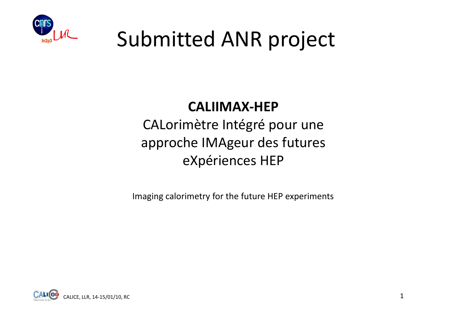

## Submitted ANR project

## **CALIIMAX-HEP**

 CALorimètre Intégré pour une approche IMAgeur des futures eXpériences HEP

Imaging calorimetry for the future HEP experiments

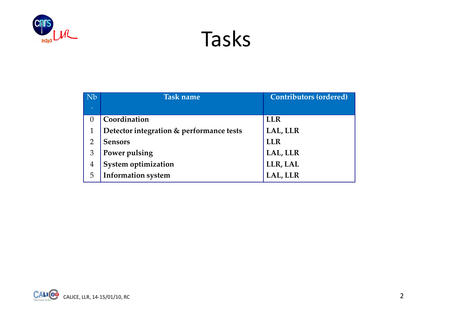

Tasks

| <b>Nb</b>      | <b>Task name</b>                         | <b>Contributors (ordered)</b> |  |  |  |
|----------------|------------------------------------------|-------------------------------|--|--|--|
| $\bullet$      |                                          |                               |  |  |  |
| $\theta$       | Coordination                             | <b>LLR</b>                    |  |  |  |
|                | Detector integration & performance tests | LAL, LLR                      |  |  |  |
| $\overline{2}$ | <b>Sensors</b>                           | <b>LLR</b>                    |  |  |  |
| 3              | Power pulsing                            | LAL, LLR                      |  |  |  |
| $\overline{4}$ | System optimization                      | LLR, LAL                      |  |  |  |
| 5              | <b>Information system</b>                | LAL, LLR                      |  |  |  |

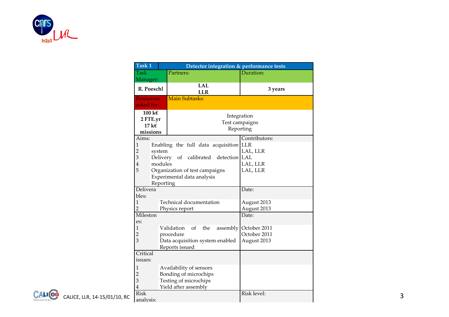

| Task 1                                                      | Detector integration & performance tests                                                                                                                               |                                                      |  |
|-------------------------------------------------------------|------------------------------------------------------------------------------------------------------------------------------------------------------------------------|------------------------------------------------------|--|
| <b>Task</b>                                                 | Partners:                                                                                                                                                              | Duration:                                            |  |
| Manager:<br>R. Poeschl                                      | <b>LAL</b><br><b>LLR</b>                                                                                                                                               | 3 years                                              |  |
| <b>Resources</b><br>asked for:                              | Main Subtasks:                                                                                                                                                         |                                                      |  |
| 100 k $\epsilon$<br>2 FTE.yr<br>17 k $\epsilon$<br>missions | Test campaigns                                                                                                                                                         | Integration<br>Reporting                             |  |
| Aims:<br>1<br>$\overline{2}$<br>system<br>3<br>$\bf 4$<br>5 | Enabling the full data acquisition LLR<br>Delivery of calibrated detection LAL<br>modules<br>Organization of test campaigns<br>Experimental data analysis<br>Reporting | Contributors:<br>LAL, LLR<br>LAL, LLR<br>LAL, LLR    |  |
| Delivera<br>bles:<br>Mileston                               | Technical documentation<br>Physics report                                                                                                                              | Date:<br>August 2013<br>August 2013<br>Date:         |  |
| es:<br>$\overline{2}$<br>3                                  | Validation<br>of the<br>procedure<br>Data acquisition system enabled<br>Reports issued                                                                                 | assembly October 2011<br>October 2011<br>August 2013 |  |
| Critical<br>issues:<br>2<br>3                               | Availability of sensors<br>Bonding of microchips<br>Testing of microchips<br>Yield after assembly                                                                      |                                                      |  |
| <b>Risk</b><br>CALICE, LLR, 14-15/01/10, RC<br>analysis:    |                                                                                                                                                                        | Risk level:                                          |  |

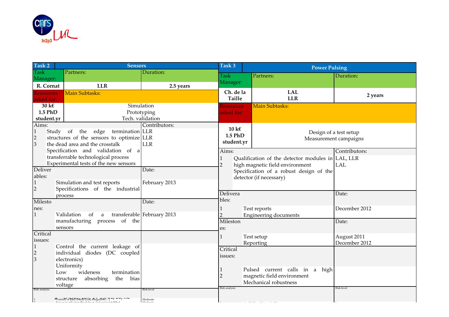

| Task 2                         | <b>Sensors</b>                                                                                    |                            | Task 3            | <b>Power Pulsing</b>                                                       |                             |  |  |
|--------------------------------|---------------------------------------------------------------------------------------------------|----------------------------|-------------------|----------------------------------------------------------------------------|-----------------------------|--|--|
| <b>Task</b>                    | Partners:                                                                                         | Duration:                  | <b>Task</b>       | Partners:                                                                  | Duration:                   |  |  |
| Manager:                       |                                                                                                   |                            | Manager:          |                                                                            |                             |  |  |
| R. Cornat                      | <b>LLR</b>                                                                                        | 2.5 years                  | Ch. de la         | <b>LAL</b>                                                                 |                             |  |  |
| <b>Resources</b><br>asked for: | Main Subtasks:                                                                                    |                            | Taille            | <b>LLR</b>                                                                 | 2 years                     |  |  |
| $30 \text{ kg}$                | Simulation                                                                                        |                            | <b>Resources</b>  | <b>Main Subtasks:</b>                                                      |                             |  |  |
| 1.5 PhD                        | Prototyping                                                                                       |                            | asked for:        |                                                                            |                             |  |  |
| student.yr                     | Tech. validation                                                                                  |                            |                   |                                                                            |                             |  |  |
| Aims:                          |                                                                                                   | Contributors:              | $10 \text{ kg}$   |                                                                            |                             |  |  |
| Study<br>1                     | of the edge<br>termination LLR                                                                    |                            | 1.5 PhD           | Design of a test setup                                                     |                             |  |  |
| $\overline{2}$                 | structures of the sensors to optimize LLR                                                         |                            | student.yr        |                                                                            | Measurement campaigns       |  |  |
| 3                              | the dead area and the crosstalk                                                                   | <b>LLR</b>                 |                   |                                                                            |                             |  |  |
|                                | Specification and validation of a<br>transferrable technological process                          |                            | Aims:             |                                                                            | Contributors:<br><b>LAL</b> |  |  |
|                                | Experimental tests of the new sensors                                                             |                            | $\overline{2}$    | Qualification of the detector modules in LAL, LLR                          |                             |  |  |
| Deliver                        |                                                                                                   | Date:                      |                   | high magnetic field environment<br>Specification of a robust design of the |                             |  |  |
| ables:                         |                                                                                                   |                            |                   | detector (if necessary)                                                    |                             |  |  |
| 1                              | Simulation and test reports                                                                       | February 2013              |                   |                                                                            |                             |  |  |
| $\overline{2}$                 | Specifications of the industrial                                                                  |                            |                   |                                                                            |                             |  |  |
|                                | process                                                                                           |                            | Delivera<br>bles: |                                                                            | Date:                       |  |  |
| Milesto                        |                                                                                                   | Date:                      |                   |                                                                            |                             |  |  |
| nes:                           |                                                                                                   |                            |                   | Test reports                                                               | December 2012               |  |  |
|                                | Validation<br>of<br>a<br>of<br>manufacturing process<br>the                                       | transferable February 2013 | Mileston          | <b>Engineering documents</b>                                               |                             |  |  |
|                                | sensors                                                                                           |                            | es:               |                                                                            | Date:                       |  |  |
| Critical                       |                                                                                                   |                            |                   |                                                                            |                             |  |  |
| issues:                        |                                                                                                   |                            |                   | Test setup                                                                 | August 2011                 |  |  |
|                                | Control the current leakage of                                                                    |                            | Critical          | Reporting                                                                  | December 2012               |  |  |
| $\overline{2}$                 | individual diodes (DC coupled                                                                     |                            | issues:           |                                                                            |                             |  |  |
| 3                              | electronics)                                                                                      |                            |                   |                                                                            |                             |  |  |
|                                | Uniformity                                                                                        |                            |                   | Pulsed current calls in a high                                             |                             |  |  |
|                                | wideness<br>termination<br>Low                                                                    |                            | $\overline{2}$    | magnetic field environment                                                 |                             |  |  |
|                                | the<br>bias<br>structure<br>absorbing                                                             |                            |                   | Mechanical robustness                                                      |                             |  |  |
| Risk analysis:                 | voltage                                                                                           | Risk level:                | Risk analysis     |                                                                            | Risk level:                 |  |  |
|                                | Viability of $R \& D$ results (cost, integration/ $\rightarrow$ +/ $\rightarrow$ -/ $\rightarrow$ |                            |                   |                                                                            |                             |  |  |
|                                |                                                                                                   | Moderate<br>Moderate       |                   |                                                                            |                             |  |  |

1 Availability of the test facilities Low of the test facilities Low of the test facilities Low of the test facilities Low of the test facilities Low of the test facilities Low of the test facilities Low of the test facili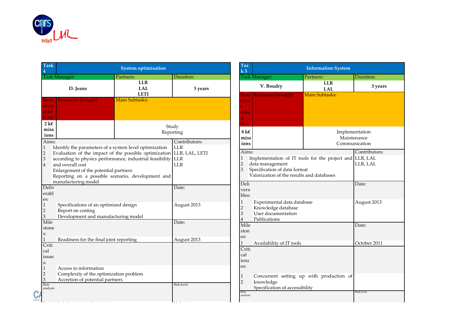

| <b>Task</b><br>4                                  |                                                                                                                                                                                                                                                                                                                                         | <b>System optimisation</b>              |               |
|---------------------------------------------------|-----------------------------------------------------------------------------------------------------------------------------------------------------------------------------------------------------------------------------------------------------------------------------------------------------------------------------------------|-----------------------------------------|---------------|
|                                                   | Task Manager:                                                                                                                                                                                                                                                                                                                           | Partners:                               | Duration:     |
|                                                   | D. Jeans                                                                                                                                                                                                                                                                                                                                | <b>LLR</b><br><b>LAL</b><br><b>LETI</b> | 3 years       |
| <b>Reso</b><br>urces<br>aske<br>d for:            | Resources brought:                                                                                                                                                                                                                                                                                                                      |                                         |               |
| $2 \text{ } k \in$<br>miss<br>ions                |                                                                                                                                                                                                                                                                                                                                         | Study                                   | Reporting     |
| Aims:                                             |                                                                                                                                                                                                                                                                                                                                         |                                         | Contributors: |
| $\mathbf{1}$<br>$\sqrt{2}$<br>3<br>$\overline{4}$ | Identify the parameters of a system level optimization<br>Evaluation of the impact of the possible optimization LLR, LAL, LETI<br>according to physics performance, industrial feasibility LLR<br>and overall cost<br>Enlargement of the potential partners<br>Reporting on a possible scenario, development and<br>manufacturing model | <b>LLR</b><br><b>LLR</b>                |               |
| Deliv                                             |                                                                                                                                                                                                                                                                                                                                         | Date:                                   |               |
| erabl<br>es:                                      |                                                                                                                                                                                                                                                                                                                                         |                                         |               |
| 1<br>$\overline{2}$<br>3                          | Specifications of an optimized design<br>Report on costing<br>Development and manufacturing model                                                                                                                                                                                                                                       |                                         | August 2013   |
| Mile<br>stone<br>s:                               |                                                                                                                                                                                                                                                                                                                                         |                                         | Date:         |
| 1                                                 | Readiness for the final joint reporting                                                                                                                                                                                                                                                                                                 |                                         | August 2013   |
| Criti<br>cal<br>issue<br>$S$ :<br>$\mathbf{1}$    | Access to information                                                                                                                                                                                                                                                                                                                   |                                         |               |
| $\overline{c}$                                    | Complexity of the optimization problem                                                                                                                                                                                                                                                                                                  |                                         |               |
| 3                                                 | Accretion of potential partners                                                                                                                                                                                                                                                                                                         |                                         |               |
| <b>Risk</b><br>analysis                           |                                                                                                                                                                                                                                                                                                                                         |                                         | Risk level:   |

Moderate State Construction and the construction

1 Lack of competence in the project team

| Tas<br>$\mathbf{k}$ 5                                          |                                                                                                                                                | <b>Information System</b>                |                                                |  |  |
|----------------------------------------------------------------|------------------------------------------------------------------------------------------------------------------------------------------------|------------------------------------------|------------------------------------------------|--|--|
|                                                                | Task Manager:                                                                                                                                  | Partners:                                | Duration:                                      |  |  |
|                                                                | V. Boudry                                                                                                                                      | <b>LLR</b><br><b>LAL</b>                 | 3 years                                        |  |  |
| <b>Resources brought:</b><br>Reso<br>urce<br>aske<br>d<br>for: |                                                                                                                                                | <b>Main Subtasks:</b>                    |                                                |  |  |
| $8k\varepsilon$<br>miss<br>ions                                |                                                                                                                                                |                                          | Implementation<br>Maintenance<br>Communication |  |  |
| Aims:<br>$\mathbf{1}$<br>$\overline{2}$<br>3                   | Implementation of IT tools for the project and<br>data management<br>Specification of data format<br>Valorization of the results and databases | Contributors:<br>LLR, LAL<br>LLR, LAL    |                                                |  |  |
| Deli<br>vera<br>bles:                                          |                                                                                                                                                |                                          | Date:                                          |  |  |
| 1<br>$\overline{c}$<br>3<br>4                                  | Experimental data database<br>Knowledge database<br>User documentation<br>Publications                                                         |                                          | August 2013                                    |  |  |
| Mile<br>ston<br>es:                                            |                                                                                                                                                |                                          | Date:                                          |  |  |
| 1<br>Criti<br>cal<br>issu<br>es:                               | Availability of IT tools                                                                                                                       | October 2011                             |                                                |  |  |
| 1<br>$\overline{2}$                                            | knowledge<br>Specification of accessibility                                                                                                    | Concurrent setting up with production of |                                                |  |  |
| <b>Risk</b><br>analysis:                                       |                                                                                                                                                |                                          | Risk level:                                    |  |  |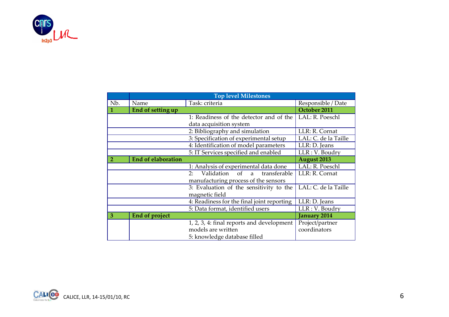

| Nb.          | Name                      | Task: criteria                                          | Responsible / Date   |  |
|--------------|---------------------------|---------------------------------------------------------|----------------------|--|
| $\mathbf{1}$ | End of setting up         |                                                         | October 2011         |  |
|              |                           | 1: Readiness of the detector and of the                 | LAL: R. Poeschl      |  |
|              |                           | data acquisition system                                 |                      |  |
|              |                           | 2: Bibliography and simulation                          | LLR: R. Cornat       |  |
|              |                           | 3: Specification of experimental setup                  | LAL: C. de la Taille |  |
|              |                           | 4: Identification of model parameters                   | LLR: D. Jeans        |  |
|              |                           | 5: IT Services specified and enabled                    | LLR: V. Boudry       |  |
| 2            | <b>End of elaboration</b> |                                                         | <b>August 2013</b>   |  |
|              |                           | 1: Analysis of experimental data done                   | LAL: R. Poeschl      |  |
|              |                           | Validation<br>2:<br>transferable<br><sub>of</sub><br>a. | LLR: R. Cornat       |  |
|              |                           | manufacturing process of the sensors                    |                      |  |
|              |                           | 3: Evaluation of the sensitivity to the                 | LAL: C. de la Taille |  |
|              |                           | magnetic field                                          |                      |  |
|              |                           | 4: Readiness for the final joint reporting              | LLR: D. Jeans        |  |
|              |                           | 5: Data format, identified users                        | LLR: V. Boudry       |  |
| 3            | End of project            |                                                         | January 2014         |  |
|              |                           | 1, 2, 3, 4: final reports and development               | Project/partner      |  |
|              |                           | models are written                                      | coordinators         |  |
|              |                           | 5: knowledge database filled                            |                      |  |

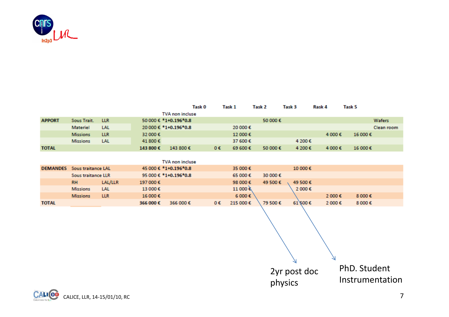

|                 |                           |            |           | Task O                        |    | Task 1            | Task 2   | Task 3  | Kask 4 | lask 5  |            |
|-----------------|---------------------------|------------|-----------|-------------------------------|----|-------------------|----------|---------|--------|---------|------------|
|                 |                           |            |           | <b>TVA</b> non incluse        |    |                   |          |         |        |         |            |
| <b>APPORT</b>   | Sous Trait.               | <b>LLR</b> |           | 50 000 € $*1+0.196*0.8$       |    |                   | 50 000 € |         |        |         | Wafers     |
|                 | <b>Materiel</b>           | <b>LAL</b> |           | $20000 \text{€}$ *1+0.196*0.8 |    | 20 000 €          |          |         |        |         | Clean room |
|                 | <b>Missions</b>           | <b>LLR</b> | 32 000 €  |                               |    | 12 000€           |          |         | 4 000€ | 16 000€ |            |
|                 | <b>Missions</b>           | <b>LAL</b> | 41 800 €  |                               |    | 37 600 €          |          | 4 200€  |        |         |            |
| <b>TOTAL</b>    |                           |            | 143 800 € | 143 800€                      | 0€ | 69 600 $\epsilon$ | 50 000€  | 4 200€  | 4 000€ | 16 000€ |            |
|                 |                           |            |           |                               |    |                   |          |         |        |         |            |
|                 |                           |            |           | TVA non incluse               |    |                   |          |         |        |         |            |
| <b>DEMANDES</b> | Sous traitance LAL        |            |           | 45 000 € *1+0.196*0.8         |    | 35 000 €          |          | 10 000€ |        |         |            |
|                 | <b>Sous traitance LLR</b> |            |           | 95 000 € *1+0.196*0.8         |    | 65 000€           | 30 000 € |         |        |         |            |
|                 | <b>RH</b>                 | LAL/LLR    | 197 000€  |                               |    | 98 000€           | 49 500 € | 49 500€ |        |         |            |

|              | Missions LAL    |            | 13 000€  |                            | 11 000 €                                          | 2 000€       |         |         |  |
|--------------|-----------------|------------|----------|----------------------------|---------------------------------------------------|--------------|---------|---------|--|
|              |                 |            |          |                            |                                                   |              |         |         |  |
|              | <b>Missions</b> | <b>LLR</b> | 16 000 € |                            | $6000 \epsilon$                                   |              | 2 000 € | 8 000€  |  |
| <b>TOTAL</b> |                 |            | 366 000€ | $366000 \text{ } \epsilon$ | $0 \epsilon$ 215 000 $\epsilon$ 79 500 $\epsilon$ | $61\,$ 500 € | 2 000 € | 8 000 € |  |
|              |                 |            |          |                            |                                                   |              |         |         |  |

N PhD. Student2yr post doc Instrumentationphysics